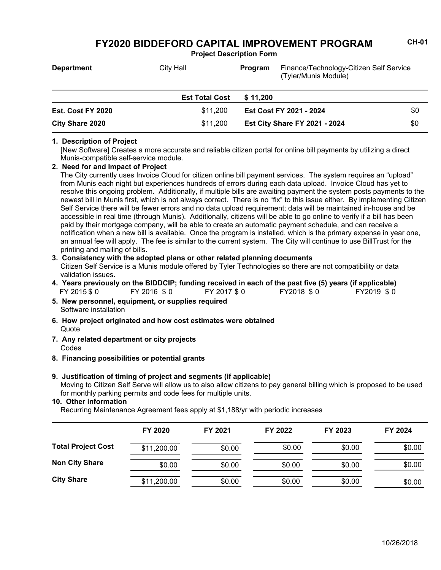**Project Description Form**

| <b>Department</b>        | City Hall             | Program  | Finance/Technology-Citizen Self Service<br>(Tyler/Munis Module) |     |
|--------------------------|-----------------------|----------|-----------------------------------------------------------------|-----|
|                          | <b>Est Total Cost</b> | \$11.200 |                                                                 |     |
| <b>Est. Cost FY 2020</b> | \$11,200              |          | Est Cost FY 2021 - 2024                                         | \$0 |
| City Share 2020          | \$11.200              |          | <b>Est City Share FY 2021 - 2024</b>                            | \$0 |

#### **1. Description of Project**

[New Software] Creates a more accurate and reliable citizen portal for online bill payments by utilizing a direct Munis-compatible self-service module.

## **2. Need for and Impact of Project**

The City currently uses Invoice Cloud for citizen online bill payment services. The system requires an "upload" from Munis each night but experiences hundreds of errors during each data upload. Invoice Cloud has yet to resolve this ongoing problem. Additionally, if multiple bills are awaiting payment the system posts payments to the newest bill in Munis first, which is not always correct. There is no "fix" to this issue either. By implementing Citizen Self Service there will be fewer errors and no data upload requirement; data will be maintained in-house and be accessible in real time (through Munis). Additionally, citizens will be able to go online to verify if a bill has been paid by their mortgage company, will be able to create an automatic payment schedule, and can receive a notification when a new bill is available. Once the program is installed, which is the primary expense in year one, an annual fee will apply. The fee is similar to the current system. The City will continue to use BillTrust for the printing and mailing of bills.

#### Citizen Self Service is a Munis module offered by Tyler Technologies so there are not compatibility or data validation issues. **3. Consistency with the adopted plans or other related planning documents**

- FY 2015 \$ 0 FY 2016 \$ 0 FY 2017 \$ 0 FY2018 \$ 0 FY2019 \$ 0 **4. Years previously on the BIDDCIP; funding received in each of the past five (5) years (if applicable)**
- Software installation **5. New personnel, equipment, or supplies required**
- **Quote 6. How project originated and how cost estimates were obtained**
- Codes **7. Any related department or city projects**
- **8. Financing possibilities or potential grants**

#### Moving to Citizen Self Serve will allow us to also allow citizens to pay general billing which is proposed to be used for monthly parking permits and code fees for multiple units. **9. Justification of timing of project and segments (if applicable)**

### **10. Other information**

Recurring Maintenance Agreement fees apply at \$1,188/yr with periodic increases

|                           | FY 2020     | FY 2021 | FY 2022 | FY 2023 | FY 2024 |
|---------------------------|-------------|---------|---------|---------|---------|
| <b>Total Project Cost</b> | \$11,200.00 | \$0.00  | \$0.00  | \$0.00  | \$0.00  |
| <b>Non City Share</b>     | \$0.00      | \$0.00  | \$0.00  | \$0.00  | \$0.00  |
| <b>City Share</b>         | \$11,200.00 | \$0.00  | \$0.00  | \$0.00  | \$0.00  |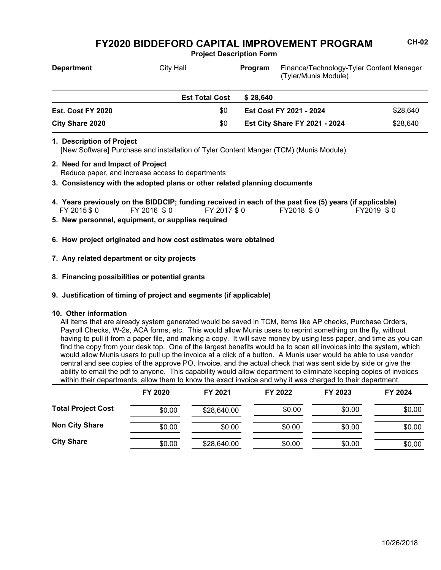**Project Description Form**

| <b>Department</b>      | <b>City Hall</b>      | Program                 | Finance/Technology-Tyler Content Manager<br>(Tyler/Munis Module) |          |
|------------------------|-----------------------|-------------------------|------------------------------------------------------------------|----------|
|                        | <b>Est Total Cost</b> | \$28.640                |                                                                  |          |
| Est. Cost FY 2020      | \$0                   | Est Cost FY 2021 - 2024 |                                                                  | \$28.640 |
| <b>City Share 2020</b> | \$0                   |                         | <b>Est City Share FY 2021 - 2024</b>                             | \$28,640 |

#### **1. Description of Project**

[New Software] Purchase and installation of Tyler Content Manger (TCM) (Munis Module)

- Reduce paper, and increase access to departments **2. Need for and Impact of Project**
- **3. Consistency with the adopted plans or other related planning documents**
- FY 2015 \$ 0 FY 2016 \$ 0 FY 2017 \$ 0 FY2018 \$ 0 FY2019 \$ 0 **4. Years previously on the BIDDCIP; funding received in each of the past five (5) years (if applicable)**
- **5. New personnel, equipment, or supplies required**
- **6. How project originated and how cost estimates were obtained**

## **7. Any related department or city projects**

- **8. Financing possibilities or potential grants**
- **9. Justification of timing of project and segments (if applicable)**

### **10. Other information**

All items that are already system generated would be saved in TCM, items like AP checks, Purchase Orders, Payroll Checks, W-2s, ACA forms, etc. This would allow Munis users to reprint something on the fly, without having to pull it from a paper file, and making a copy. It will save money by using less paper, and time as you can find the copy from your desk top. One of the largest benefits would be to scan all invoices into the system, which would allow Munis users to pull up the invoice at a click of a button. A Munis user would be able to use vendor central and see copies of the approve PO, Invoice, and the actual check that was sent side by side or give the ability to email the pdf to anyone. This capability would allow department to eliminate keeping copies of invoices within their departments, allow them to know the exact invoice and why it was charged to their department.

|                           | FY 2020 | FY 2021     | FY 2022 | FY 2023 | FY 2024 |
|---------------------------|---------|-------------|---------|---------|---------|
| <b>Total Project Cost</b> | \$0.00  | \$28,640.00 | \$0.00  | \$0.00  | \$0.00  |
| <b>Non City Share</b>     | \$0.00  | \$0.00      | \$0.00  | \$0.00  | \$0.00  |
| <b>City Share</b>         | \$0.00  | \$28,640.00 | \$0.00  | \$0.00  | \$0.00  |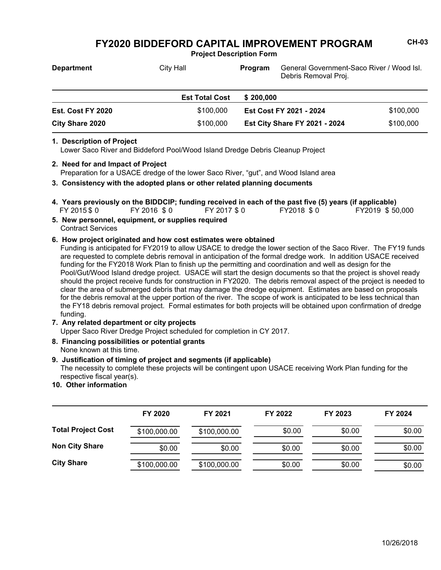**Project Description Form**

| <b>Department</b>      | City Hall             | <b>Program</b>          | General Government-Saco River / Wood Isl.<br>Debris Removal Proj. |           |
|------------------------|-----------------------|-------------------------|-------------------------------------------------------------------|-----------|
|                        | <b>Est Total Cost</b> | \$200.000               |                                                                   |           |
| Est. Cost FY 2020      | \$100,000             | Est Cost FY 2021 - 2024 |                                                                   | \$100,000 |
| <b>City Share 2020</b> | \$100,000             |                         | <b>Est City Share FY 2021 - 2024</b>                              | \$100,000 |

#### **1. Description of Project**

Lower Saco River and Biddeford Pool/Wood Island Dredge Debris Cleanup Project

- Preparation for a USACE dredge of the lower Saco River, "gut", and Wood Island area **2. Need for and Impact of Project**
- **3. Consistency with the adopted plans or other related planning documents**
- FY 2015 \$ 0 FY 2016 \$ 0 FY 2017 \$ 0 FY2018 \$ 0 FY2019 \$ 50,000 **4. Years previously on the BIDDCIP; funding received in each of the past five (5) years (if applicable)**
- Contract Services **5. New personnel, equipment, or supplies required**

### **6. How project originated and how cost estimates were obtained**

Funding is anticipated for FY2019 to allow USACE to dredge the lower section of the Saco River. The FY19 funds are requested to complete debris removal in anticipation of the formal dredge work. In addition USACE received funding for the FY2018 Work Plan to finish up the permitting and coordination and well as design for the Pool/Gut/Wood Island dredge project. USACE will start the design documents so that the project is shovel ready should the project receive funds for construction in FY2020. The debris removal aspect of the project is needed to clear the area of submerged debris that may damage the dredge equipment. Estimates are based on proposals for the debris removal at the upper portion of the river. The scope of work is anticipated to be less technical than the FY18 debris removal project. Formal estimates for both projects will be obtained upon confirmation of dredge funding.

**7. Any related department or city projects**

Upper Saco River Dredge Project scheduled for completion in CY 2017.

None known at this time. **8. Financing possibilities or potential grants**

#### **9. Justification of timing of project and segments (if applicable)**

The necessity to complete these projects will be contingent upon USACE receiving Work Plan funding for the respective fiscal year(s).

**10. Other information**

|                           | FY 2020      | FY 2021      | FY 2022 | FY 2023 | FY 2024 |
|---------------------------|--------------|--------------|---------|---------|---------|
| <b>Total Project Cost</b> | \$100,000.00 | \$100,000.00 | \$0.00  | \$0.00  | \$0.00  |
| <b>Non City Share</b>     | \$0.00       | \$0.00       | \$0.00  | \$0.00  | \$0.00  |
| <b>City Share</b>         | \$100,000.00 | \$100,000.00 | \$0.00  | \$0.00  | \$0.00  |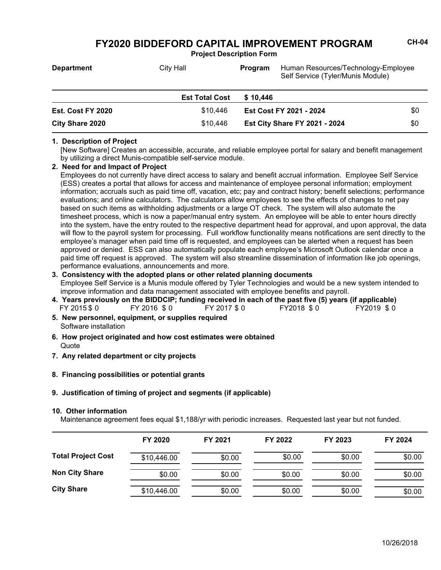**Project Description Form**

| <b>Department</b>      | City Hall             | Program  | Human Resources/Technology-Employee<br>Self Service (Tyler/Munis Module) |     |
|------------------------|-----------------------|----------|--------------------------------------------------------------------------|-----|
|                        | <b>Est Total Cost</b> | \$10.446 |                                                                          |     |
| Est. Cost FY 2020      | \$10.446              |          | Est Cost FY 2021 - 2024                                                  | \$0 |
| <b>City Share 2020</b> | \$10,446              |          | <b>Est City Share FY 2021 - 2024</b>                                     | \$0 |

#### **1. Description of Project**

[New Software] Creates an accessible, accurate, and reliable employee portal for salary and benefit management by utilizing a direct Munis-compatible self-service module.

#### **2. Need for and Impact of Project**

Employees do not currently have direct access to salary and benefit accrual information. Employee Self Service (ESS) creates a portal that allows for access and maintenance of employee personal information; employment information; accruals such as paid time off, vacation, etc; pay and contract history; benefit selections; performance evaluations; and online calculators. The calculators allow employees to see the effects of changes to net pay based on such items as withholding adjustments or a large OT check. The system will also automate the timesheet process, which is now a paper/manual entry system. An employee will be able to enter hours directly into the system, have the entry routed to the respective department head for approval, and upon approval, the data will flow to the payroll system for processing. Full workflow functionality means notifications are sent directly to the employee's manager when paid time off is requested, and employees can be alerted when a request has been approved or denied. ESS can also automatically populate each employee's Microsoft Outlook calendar once a paid time off request is approved. The system will also streamline dissemination of information like job openings, performance evaluations, announcements and more.

### **3. Consistency with the adopted plans or other related planning documents**

Employee Self Service is a Munis module offered by Tyler Technologies and would be a new system intended to improve information and data management associated with employee benefits and payroll.

- FY 2015 \$ 0 FY 2016 \$ 0 FY 2017 \$ 0 FY2018 \$ 0 FY2019 \$ 0 **4. Years previously on the BIDDCIP; funding received in each of the past five (5) years (if applicable)**
- Software installation **5. New personnel, equipment, or supplies required**
- **Quote 6. How project originated and how cost estimates were obtained**
- **7. Any related department or city projects**
- **8. Financing possibilities or potential grants**
- **9. Justification of timing of project and segments (if applicable)**

#### **10. Other information**

Maintenance agreement fees equal \$1,188/yr with periodic increases. Requested last year but not funded.

|                           | FY 2020     | FY 2021 | FY 2022 | FY 2023 | FY 2024 |
|---------------------------|-------------|---------|---------|---------|---------|
| <b>Total Project Cost</b> | \$10,446.00 | \$0.00  | \$0.00  | \$0.00  | \$0.00  |
| <b>Non City Share</b>     | \$0.00      | \$0.00  | \$0.00  | \$0.00  | \$0.00  |
| <b>City Share</b>         | \$10,446.00 | \$0.00  | \$0.00  | \$0.00  | \$0.00  |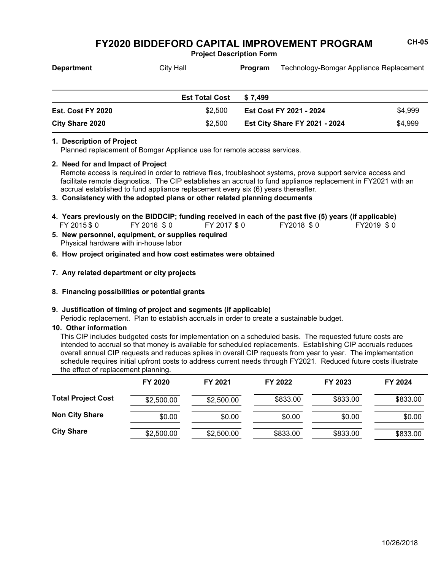**Project Description Form**

| <b>Department</b> | City Hall             | <b>Program</b> | Technology-Bomgar Appliance Replacement |         |
|-------------------|-----------------------|----------------|-----------------------------------------|---------|
|                   |                       |                |                                         |         |
|                   | <b>Est Total Cost</b> | \$7.499        |                                         |         |
| Est. Cost FY 2020 | \$2.500               |                | <b>Est Cost FY 2021 - 2024</b>          | \$4,999 |

**Est City Share FY 2021 - 2024** \$4,999

### **1. Description of Project**

Planned replacement of Bomgar Appliance use for remote access services.

#### **2. Need for and Impact of Project**

**City Share 2020** \$2,500

Remote access is required in order to retrieve files, troubleshoot systems, prove support service access and facilitate remote diagnostics. The CIP establishes an accrual to fund appliance replacement in FY2021 with an accrual established to fund appliance replacement every six (6) years thereafter.

### **3. Consistency with the adopted plans or other related planning documents**

- FY 2015 \$0 FY 2016 \$0 FY 2017 \$0 FY2018 \$0 FY2019 \$0 **4. Years previously on the BIDDCIP; funding received in each of the past five (5) years (if applicable)**
- Physical hardware with in-house labor **5. New personnel, equipment, or supplies required**
- **6. How project originated and how cost estimates were obtained**

## **7. Any related department or city projects**

**8. Financing possibilities or potential grants**

### **9. Justification of timing of project and segments (if applicable)**

Periodic replacement. Plan to establish accruals in order to create a sustainable budget.

### **10. Other information**

This CIP includes budgeted costs for implementation on a scheduled basis. The requested future costs are intended to accrual so that money is available for scheduled replacements. Establishing CIP accruals reduces overall annual CIP requests and reduces spikes in overall CIP requests from year to year. The implementation schedule requires initial upfront costs to address current needs through FY2021. Reduced future costs illustrate the effect of replacement planning.

|                           | FY 2020    | FY 2021    | FY 2022  | FY 2023  | FY 2024  |
|---------------------------|------------|------------|----------|----------|----------|
| <b>Total Project Cost</b> | \$2,500.00 | \$2,500.00 | \$833.00 | \$833.00 | \$833.00 |
| <b>Non City Share</b>     | \$0.00     | \$0.00     | \$0.00   | \$0.00   | \$0.00   |
| <b>City Share</b>         | \$2,500.00 | \$2,500.00 | \$833.00 | \$833.00 | \$833.00 |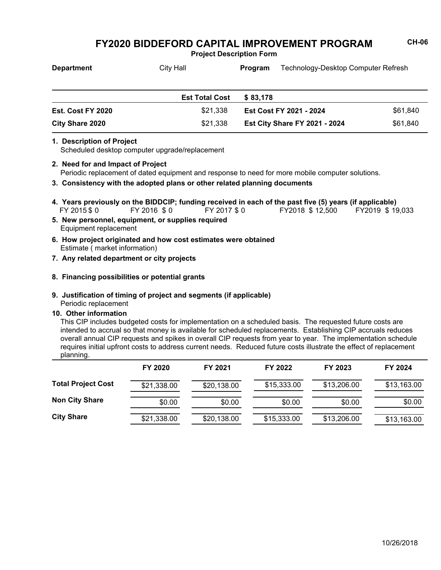**Project Description Form**

| <b>Department</b>        | City Hall             | Technology-Desktop Computer Refresh<br><b>Program</b> |          |
|--------------------------|-----------------------|-------------------------------------------------------|----------|
|                          | <b>Est Total Cost</b> | \$83.178                                              |          |
| <b>Est. Cost FY 2020</b> | \$21,338              | Est Cost FY 2021 - 2024                               | \$61,840 |
| <b>City Share 2020</b>   | \$21,338              | <b>Est City Share FY 2021 - 2024</b>                  | \$61,840 |

#### **1. Description of Project**

Scheduled desktop computer upgrade/replacement

- Periodic replacement of dated equipment and response to need for more mobile computer solutions. **2. Need for and Impact of Project**
- **3. Consistency with the adopted plans or other related planning documents**
- FY 2015\$0 FY 2016 \$0 FY 2017\$0 FY2018 \$ 12,500 FY2019 \$ 19,033 **4. Years previously on the BIDDCIP; funding received in each of the past five (5) years (if applicable)**
- Equipment replacement **5. New personnel, equipment, or supplies required**
- Estimate ( market information) **6. How project originated and how cost estimates were obtained**
- **7. Any related department or city projects**

## **8. Financing possibilities or potential grants**

## **9. Justification of timing of project and segments (if applicable)**

Periodic replacement

### **10. Other information**

This CIP includes budgeted costs for implementation on a scheduled basis. The requested future costs are intended to accrual so that money is available for scheduled replacements. Establishing CIP accruals reduces overall annual CIP requests and spikes in overall CIP requests from year to year. The implementation schedule requires initial upfront costs to address current needs. Reduced future costs illustrate the effect of replacement planning.

|                           | FY 2020     | FY 2021     | FY 2022     | FY 2023     | FY 2024     |
|---------------------------|-------------|-------------|-------------|-------------|-------------|
| <b>Total Project Cost</b> | \$21,338.00 | \$20,138.00 | \$15,333.00 | \$13,206.00 | \$13,163.00 |
| <b>Non City Share</b>     | \$0.00      | \$0.00      | \$0.00      | \$0.00      | \$0.00      |
| <b>City Share</b>         | \$21,338.00 | \$20,138.00 | \$15,333.00 | \$13,206.00 | \$13,163.00 |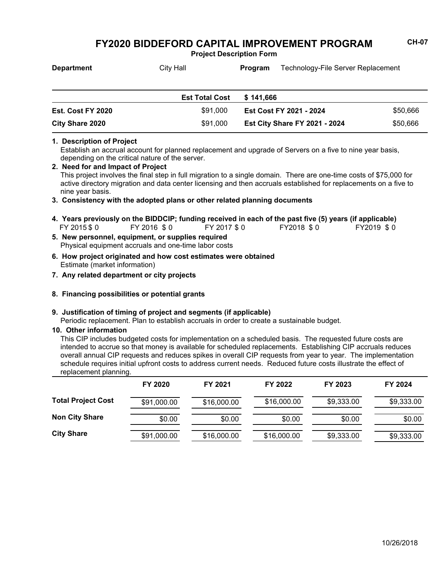**Project Description Form**

| <b>Department</b> | City Hall             | Technology-File Server Replacement<br>Program |                                |          |  |
|-------------------|-----------------------|-----------------------------------------------|--------------------------------|----------|--|
|                   |                       |                                               |                                |          |  |
|                   | <b>Est Total Cost</b> | \$141.666                                     |                                |          |  |
|                   |                       |                                               |                                |          |  |
| Est. Cost FY 2020 | \$91,000              |                                               | <b>Est Cost FY 2021 - 2024</b> | \$50,666 |  |

**Est City Share FY 2021 - 2024** \$50,666

## **1. Description of Project**

Establish an accrual account for planned replacement and upgrade of Servers on a five to nine year basis, depending on the critical nature of the server.

This project involves the final step in full migration to a single domain. There are one-time costs of \$75,000 for active directory migration and data center licensing and then accruals established for replacements on a five to nine year basis. **2. Need for and Impact of Project**

#### **3. Consistency with the adopted plans or other related planning documents**

- FY 2015 \$ 0 FY 2016 \$ 0 FY 2017 \$ 0 FY2018 \$ 0 FY2019 \$ 0 **4. Years previously on the BIDDCIP; funding received in each of the past five (5) years (if applicable)**
- Physical equipment accruals and one-time labor costs **5. New personnel, equipment, or supplies required**

**City Share 2020** \$91,000

- Estimate (market information) **6. How project originated and how cost estimates were obtained**
- **7. Any related department or city projects**

### **8. Financing possibilities or potential grants**

#### **9. Justification of timing of project and segments (if applicable)**

Periodic replacement. Plan to establish accruals in order to create a sustainable budget.

#### **10. Other information**

This CIP includes budgeted costs for implementation on a scheduled basis. The requested future costs are intended to accrue so that money is available for scheduled replacements. Establishing CIP accruals reduces overall annual CIP requests and reduces spikes in overall CIP requests from year to year. The implementation schedule requires initial upfront costs to address current needs. Reduced future costs illustrate the effect of replacement planning.

|                           | FY 2020     | FY 2021     | FY 2022     | FY 2023    | FY 2024    |
|---------------------------|-------------|-------------|-------------|------------|------------|
| <b>Total Project Cost</b> | \$91,000.00 | \$16,000.00 | \$16,000.00 | \$9,333.00 | \$9,333.00 |
| <b>Non City Share</b>     | \$0.00      | \$0.00      | \$0.00      | \$0.00     | \$0.00     |
| <b>City Share</b>         | \$91,000.00 | \$16,000.00 | \$16,000.00 | \$9,333.00 | \$9,333.00 |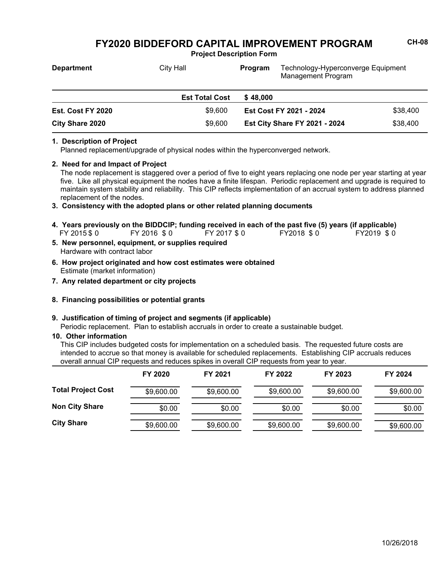**Project Description Form**

| <b>Department</b>        | City Hall             | Technology-Hyperconverge Equipment<br>Program<br>Management Program |          |
|--------------------------|-----------------------|---------------------------------------------------------------------|----------|
|                          | <b>Est Total Cost</b> | \$48,000                                                            |          |
| <b>Est. Cost FY 2020</b> | \$9.600               | \$38,400<br>Est Cost FY 2021 - 2024                                 |          |
| City Share 2020          | \$9,600               | <b>Est City Share FY 2021 - 2024</b>                                | \$38,400 |

#### **1. Description of Project**

Planned replacement/upgrade of physical nodes within the hyperconverged network.

### **2. Need for and Impact of Project**

The node replacement is staggered over a period of five to eight years replacing one node per year starting at year five. Like all physical equipment the nodes have a finite lifespan. Periodic replacement and upgrade is required to maintain system stability and reliability. This CIP reflects implementation of an accrual system to address planned replacement of the nodes.

- **3. Consistency with the adopted plans or other related planning documents**
- FY 2015 \$ 0 FY 2016 \$ 0 FY 2017 \$ 0 FY2018 \$ 0 FY2019 \$ 0 **4. Years previously on the BIDDCIP; funding received in each of the past five (5) years (if applicable)**
- Hardware with contract labor **5. New personnel, equipment, or supplies required**
- Estimate (market information) **6. How project originated and how cost estimates were obtained**
- **7. Any related department or city projects**
- **8. Financing possibilities or potential grants**

#### **9. Justification of timing of project and segments (if applicable)**

Periodic replacement. Plan to establish accruals in order to create a sustainable budget.

#### **10. Other information**

This CIP includes budgeted costs for implementation on a scheduled basis. The requested future costs are intended to accrue so that money is available for scheduled replacements. Establishing CIP accruals reduces overall annual CIP requests and reduces spikes in overall CIP requests from year to year.

|                           | FY 2020    | FY 2021    | FY 2022    | FY 2023    | FY 2024    |
|---------------------------|------------|------------|------------|------------|------------|
| <b>Total Project Cost</b> | \$9,600.00 | \$9,600.00 | \$9,600.00 | \$9,600.00 | \$9,600.00 |
| <b>Non City Share</b>     | \$0.00     | \$0.00     | \$0.00     | \$0.00     | \$0.00     |
| <b>City Share</b>         | \$9,600.00 | \$9,600.00 | \$9,600.00 | \$9,600.00 | \$9,600.00 |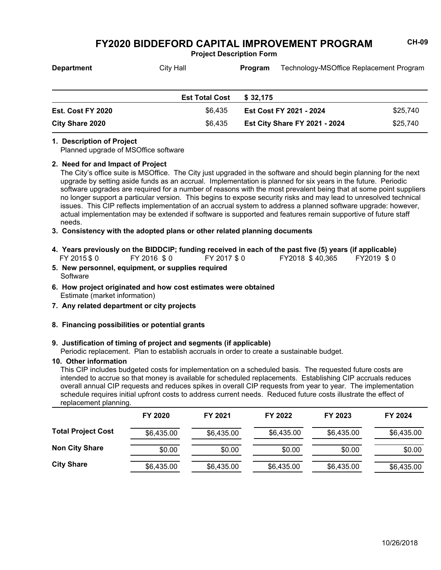**Project Description Form**

| <b>Department</b>        | City Hall             | Program                 | Technology-MSOffice Replacement Program |          |
|--------------------------|-----------------------|-------------------------|-----------------------------------------|----------|
|                          | <b>Est Total Cost</b> | \$32.175                |                                         |          |
| <b>Est. Cost FY 2020</b> | \$6.435               | Est Cost FY 2021 - 2024 |                                         | \$25.740 |
| <b>City Share 2020</b>   | \$6,435               |                         | <b>Est City Share FY 2021 - 2024</b>    | \$25,740 |

### **1. Description of Project**

Planned upgrade of MSOffice software

#### **2. Need for and Impact of Project**

The City's office suite is MSOffice. The City just upgraded in the software and should begin planning for the next upgrade by setting aside funds as an accrual. Implementation is planned for six years in the future. Periodic software upgrades are required for a number of reasons with the most prevalent being that at some point suppliers no longer support a particular version. This begins to expose security risks and may lead to unresolved technical issues. This CIP reflects implementation of an accrual system to address a planned software upgrade: however, actual implementation may be extended if software is supported and features remain supportive of future staff needs.

### **3. Consistency with the adopted plans or other related planning documents**

- FY 2015 \$ 0 FY 2016 \$ 0 FY 2017 \$ 0 FY2018 \$ 40,365 FY2019 \$ 0 **4. Years previously on the BIDDCIP; funding received in each of the past five (5) years (if applicable)**
- **Software 5. New personnel, equipment, or supplies required**
- Estimate (market information) **6. How project originated and how cost estimates were obtained**
- **7. Any related department or city projects**
- **8. Financing possibilities or potential grants**

### **9. Justification of timing of project and segments (if applicable)**

Periodic replacement. Plan to establish accruals in order to create a sustainable budget.

### **10. Other information**

This CIP includes budgeted costs for implementation on a scheduled basis. The requested future costs are intended to accrue so that money is available for scheduled replacements. Establishing CIP accruals reduces overall annual CIP requests and reduces spikes in overall CIP requests from year to year. The implementation schedule requires initial upfront costs to address current needs. Reduced future costs illustrate the effect of replacement planning.

|                           | FY 2020    | FY 2021    | FY 2022    | FY 2023    | FY 2024    |
|---------------------------|------------|------------|------------|------------|------------|
| <b>Total Project Cost</b> | \$6,435.00 | \$6,435.00 | \$6,435.00 | \$6,435.00 | \$6,435.00 |
| <b>Non City Share</b>     | \$0.00     | \$0.00     | \$0.00     | \$0.00     | \$0.00     |
| <b>City Share</b>         | \$6,435.00 | \$6,435.00 | \$6,435.00 | \$6,435.00 | \$6,435.00 |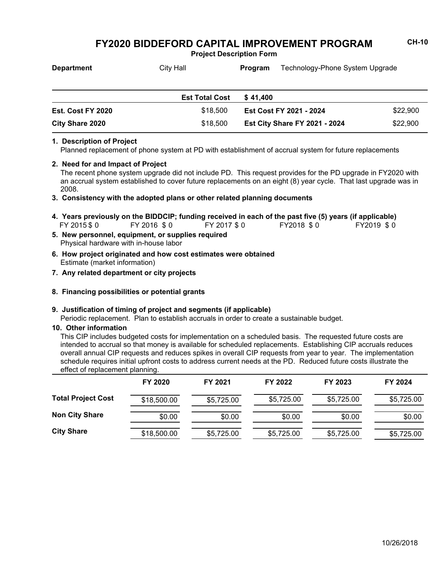**Project Description Form**

| <b>Department</b> | City Hall             | Technology-Phone System Upgrade<br>Program |                                |          |
|-------------------|-----------------------|--------------------------------------------|--------------------------------|----------|
|                   |                       |                                            |                                |          |
|                   | <b>Est Total Cost</b> | \$41.400                                   |                                |          |
| Est. Cost FY 2020 | \$18,500              |                                            | <b>Est Cost FY 2021 - 2024</b> | \$22,900 |

**Est City Share FY 2021 - 2024** \$22,900

## **1. Description of Project**

Planned replacement of phone system at PD with establishment of accrual system for future replacements

#### **2. Need for and Impact of Project**

**City Share 2020** \$18,500

The recent phone system upgrade did not include PD. This request provides for the PD upgrade in FY2020 with an accrual system established to cover future replacements on an eight (8) year cycle. That last upgrade was in 2008.

### **3. Consistency with the adopted plans or other related planning documents**

- FY 2015 \$0 FY 2016 \$0 FY 2017 \$0 FY2018 \$0 FY2019 \$0 **4. Years previously on the BIDDCIP; funding received in each of the past five (5) years (if applicable)**
- Physical hardware with in-house labor **5. New personnel, equipment, or supplies required**
- Estimate (market information) **6. How project originated and how cost estimates were obtained**
- **7. Any related department or city projects**
- **8. Financing possibilities or potential grants**

### **9. Justification of timing of project and segments (if applicable)**

Periodic replacement. Plan to establish accruals in order to create a sustainable budget.

#### **10. Other information**

This CIP includes budgeted costs for implementation on a scheduled basis. The requested future costs are intended to accrual so that money is available for scheduled replacements. Establishing CIP accruals reduces overall annual CIP requests and reduces spikes in overall CIP requests from year to year. The implementation schedule requires initial upfront costs to address current needs at the PD. Reduced future costs illustrate the effect of replacement planning.

|                           | FY 2020     | FY 2021    | FY 2022    | FY 2023    | FY 2024    |
|---------------------------|-------------|------------|------------|------------|------------|
| <b>Total Project Cost</b> | \$18,500.00 | \$5,725.00 | \$5,725.00 | \$5,725.00 | \$5,725.00 |
| <b>Non City Share</b>     | \$0.00      | \$0.00     | \$0.00     | \$0.00     | \$0.00     |
| <b>City Share</b>         | \$18,500.00 | \$5,725.00 | \$5,725.00 | \$5,725.00 | \$5,725.00 |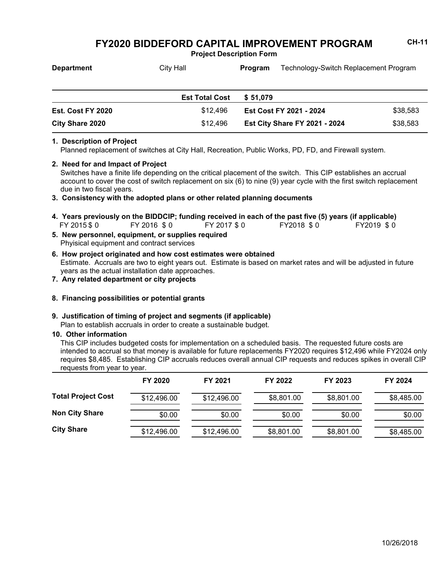**Project Description Form**

| <b>Department</b> | City Hall             | <b>Program</b> |                         | Technology-Switch Replacement Program |  |
|-------------------|-----------------------|----------------|-------------------------|---------------------------------------|--|
|                   | <b>Est Total Cost</b> | \$51.079       |                         |                                       |  |
| Est. Cost FY 2020 | \$12,496              |                | Est Cost FY 2021 - 2024 | \$38,583                              |  |

**Est City Share FY 2021 - 2024** \$38,583

## **1. Description of Project**

Planned replacement of switches at City Hall, Recreation, Public Works, PD, FD, and Firewall system.

#### **2. Need for and Impact of Project**

Switches have a finite life depending on the critical placement of the switch. This CIP establishes an accrual account to cover the cost of switch replacement on six (6) to nine (9) year cycle with the first switch replacement due in two fiscal years.

#### **3. Consistency with the adopted plans or other related planning documents**

- **5. New personnel, equipment, or supplies required** FY 2015 \$0 FY 2016 \$0 FY 2017 \$0 FY2018 \$0 FY2019 \$0 **4. Years previously on the BIDDCIP; funding received in each of the past five (5) years (if applicable)**
- Phyisical equipment and contract services

**City Share 2020** \$12,496

- Estimate. Accruals are two to eight years out. Estimate is based on market rates and will be adjusted in future years as the actual installation date approaches. **6. How project originated and how cost estimates were obtained**
- **7. Any related department or city projects**

### **8. Financing possibilities or potential grants**

#### **9. Justification of timing of project and segments (if applicable)**

Plan to establish accruals in order to create a sustainable budget.

#### **10. Other information**

This CIP includes budgeted costs for implementation on a scheduled basis. The requested future costs are intended to accrual so that money is available for future replacements FY2020 requires \$12,496 while FY2024 only requires \$8,485. Establishing CIP accruals reduces overall annual CIP requests and reduces spikes in overall CIP requests from year to year.

|                           | FY 2020     | FY 2021     | FY 2022    | FY 2023    | FY 2024    |
|---------------------------|-------------|-------------|------------|------------|------------|
| <b>Total Project Cost</b> | \$12,496.00 | \$12,496.00 | \$8,801.00 | \$8,801.00 | \$8,485.00 |
| <b>Non City Share</b>     | \$0.00      | \$0.00      | \$0.00     | \$0.00     | \$0.00     |
| <b>City Share</b>         | \$12,496.00 | \$12,496.00 | \$8,801.00 | \$8,801.00 | \$8,485.00 |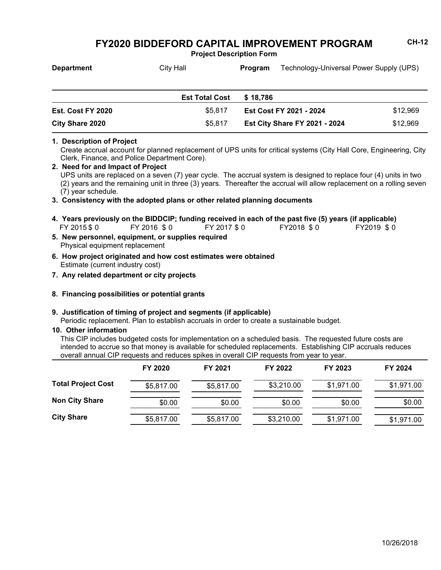**Project Description Form**

| <b>Department</b> | City Hall             | Program  |                         | Technology-Universal Power Supply (UPS) |  |
|-------------------|-----------------------|----------|-------------------------|-----------------------------------------|--|
|                   |                       |          |                         |                                         |  |
|                   | <b>Est Total Cost</b> | \$18.786 |                         |                                         |  |
| Est. Cost FY 2020 | \$5,817               |          | Est Cost FY 2021 - 2024 | \$12,969                                |  |

## **1. Description of Project**

Create accrual account for planned replacement of UPS units for critical systems (City Hall Core, Engineering, City Clerk, Finance, and Police Department Core).

**Est City Share FY 2021 - 2024** \$12,969

#### **2. Need for and Impact of Project**

UPS units are replaced on a seven (7) year cycle. The accrual system is designed to replace four (4) units in two (2) years and the remaining unit in three (3) years. Thereafter the accrual will allow replacement on a rolling seven (7) year schedule.

### **3. Consistency with the adopted plans or other related planning documents**

- FY 2015 \$ 0 FY 2016 \$ 0 FY 2017 \$ 0 FY2018 \$ 0 FY2019 \$ 0 **4. Years previously on the BIDDCIP; funding received in each of the past five (5) years (if applicable)**
- Physical equipment replacement **5. New personnel, equipment, or supplies required**

**City Share 2020** \$5,817

- Estimate (current industry cost) **6. How project originated and how cost estimates were obtained**
- **7. Any related department or city projects**

### **8. Financing possibilities or potential grants**

### **9. Justification of timing of project and segments (if applicable)**

Periodic replacement. Plan to establish accruals in order to create a sustainable budget.

### **10. Other information**

This CIP includes budgeted costs for implementation on a scheduled basis. The requested future costs are intended to accrue so that money is available for scheduled replacements. Establishing CIP accruals reduces overall annual CIP requests and reduces spikes in overall CIP requests from year to year.

|                           | FY 2020    | FY 2021    | FY 2022    | FY 2023    | FY 2024    |
|---------------------------|------------|------------|------------|------------|------------|
| <b>Total Project Cost</b> | \$5,817.00 | \$5,817.00 | \$3,210.00 | \$1,971.00 | \$1,971.00 |
| <b>Non City Share</b>     | \$0.00     | \$0.00     | \$0.00     | \$0.00     | \$0.00     |
| <b>City Share</b>         | \$5,817.00 | \$5,817.00 | \$3,210.00 | \$1,971.00 | \$1,971.00 |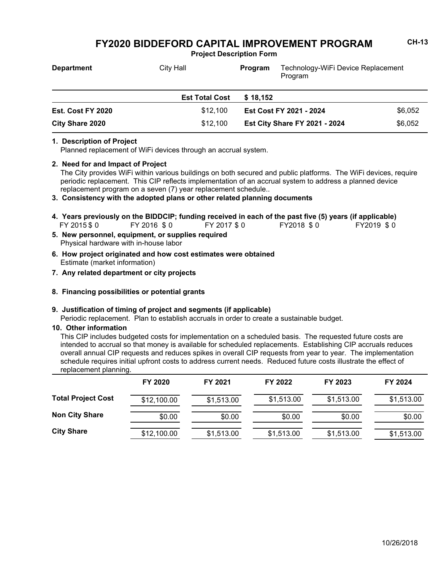**Project Description Form**

| <b>Department</b> | <b>City Hall</b>      | Technology-WiFi Device Replacement<br>Program<br>Program |         |
|-------------------|-----------------------|----------------------------------------------------------|---------|
|                   | <b>Est Total Cost</b> | \$18.152                                                 |         |
| Est. Cost FY 2020 | \$12,100              | Est Cost FY 2021 - 2024                                  | \$6,052 |
| City Share 2020   | \$12,100              | \$6,052<br><b>Est City Share FY 2021 - 2024</b>          |         |

#### **1. Description of Project**

Planned replacement of WiFi devices through an accrual system.

### **2. Need for and Impact of Project**

The City provides WiFi within various buildings on both secured and public platforms. The WiFi devices, require periodic replacement. This CIP reflects implementation of an accrual system to address a planned device replacement program on a seven (7) year replacement schedule..

### **3. Consistency with the adopted plans or other related planning documents**

- FY 2015 \$0 FY 2016 \$0 FY 2017 \$0 FY2018 \$0 FY2019 \$0 **4. Years previously on the BIDDCIP; funding received in each of the past five (5) years (if applicable)**
- Physical hardware with in-house labor **5. New personnel, equipment, or supplies required**
- Estimate (market information) **6. How project originated and how cost estimates were obtained**
- **7. Any related department or city projects**
- **8. Financing possibilities or potential grants**

### **9. Justification of timing of project and segments (if applicable)**

Periodic replacement. Plan to establish accruals in order to create a sustainable budget.

#### **10. Other information**

This CIP includes budgeted costs for implementation on a scheduled basis. The requested future costs are intended to accrual so that money is available for scheduled replacements. Establishing CIP accruals reduces overall annual CIP requests and reduces spikes in overall CIP requests from year to year. The implementation schedule requires initial upfront costs to address current needs. Reduced future costs illustrate the effect of replacement planning.

|                           | FY 2020     | FY 2021    | FY 2022    | FY 2023    | FY 2024    |
|---------------------------|-------------|------------|------------|------------|------------|
| <b>Total Project Cost</b> | \$12,100.00 | \$1,513.00 | \$1,513.00 | \$1,513.00 | \$1,513.00 |
| <b>Non City Share</b>     | \$0.00      | \$0.00     | \$0.00     | \$0.00     | \$0.00     |
| <b>City Share</b>         | \$12,100.00 | \$1,513.00 | \$1,513.00 | \$1,513.00 | \$1,513.00 |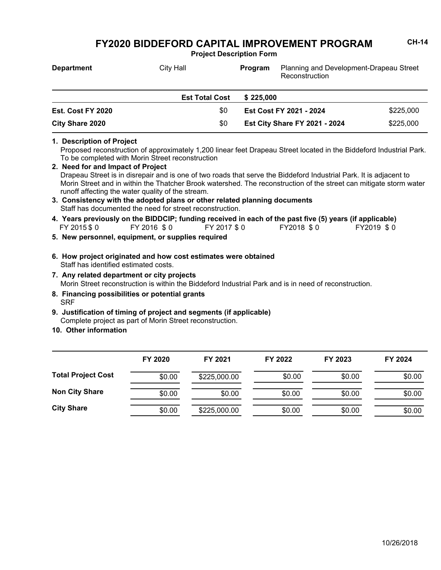**Project Description Form**

| <b>Department</b>        | City Hall             | Planning and Development-Drapeau Street<br>Program<br>Reconstruction |           |
|--------------------------|-----------------------|----------------------------------------------------------------------|-----------|
|                          | <b>Est Total Cost</b> | \$225.000                                                            |           |
| <b>Est. Cost FY 2020</b> | \$0                   | Est Cost FY 2021 - 2024                                              | \$225,000 |
| City Share 2020          | \$0                   | \$225,000<br><b>Est City Share FY 2021 - 2024</b>                    |           |

**1. Description of Project**

Proposed reconstruction of approximately 1,200 linear feet Drapeau Street located in the Biddeford Industrial Park. To be completed with Morin Street reconstruction

- Drapeau Street is in disrepair and is one of two roads that serve the Biddeford Industrial Park. It is adjacent to Morin Street and in within the Thatcher Brook watershed. The reconstruction of the street can mitigate storm water runoff affecting the water quality of the stream. **2. Need for and Impact of Project 3. Consistency with the adopted plans or other related planning documents**
- Staff has documented the need for street reconstruction.
- FY 2015 \$ 0 FY 2016 \$ 0 FY 2017 \$ 0 FY2018 \$ 0 FY2019 \$ 0 **4. Years previously on the BIDDCIP; funding received in each of the past five (5) years (if applicable)**
- **5. New personnel, equipment, or supplies required**
- Staff has identified estimated costs. **6. How project originated and how cost estimates were obtained**
- Morin Street reconstruction is within the Biddeford Industrial Park and is in need of reconstruction. **7. Any related department or city projects**
- **SRF 8. Financing possibilities or potential grants**
- Complete project as part of Morin Street reconstruction. **9. Justification of timing of project and segments (if applicable)**
- **10. Other information**

|                           | FY 2020 | FY 2021      | FY 2022 | FY 2023 | FY 2024 |
|---------------------------|---------|--------------|---------|---------|---------|
| <b>Total Project Cost</b> | \$0.00  | \$225,000.00 | \$0.00  | \$0.00  | \$0.00  |
| <b>Non City Share</b>     | \$0.00  | \$0.00       | \$0.00  | \$0.00  | \$0.00  |
| <b>City Share</b>         | \$0.00  | \$225,000.00 | \$0.00  | \$0.00  | \$0.00  |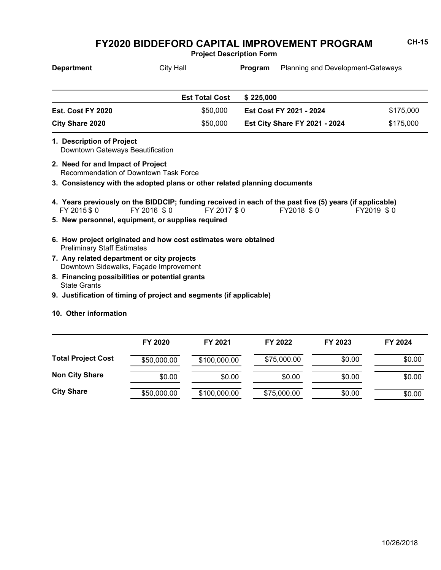**Project Description Form**

| <b>Department</b> | <b>City Hall</b>      | Program                              | <b>Planning and Development-Gateways</b> |           |  |
|-------------------|-----------------------|--------------------------------------|------------------------------------------|-----------|--|
|                   | <b>Est Total Cost</b> | \$225.000                            |                                          |           |  |
| Est. Cost FY 2020 | \$50,000              | Est Cost FY 2021 - 2024              |                                          | \$175,000 |  |
| City Share 2020   | \$50,000              | <b>Est City Share FY 2021 - 2024</b> |                                          | \$175,000 |  |

- Downtown Gateways Beautification **1. Description of Project**
- Recommendation of Downtown Task Force **2. Need for and Impact of Project**
- **3. Consistency with the adopted plans or other related planning documents**
- FY 2015 \$ 0 FY 2016 \$ 0 FY 2017 \$ 0 FY2018 \$ 0 FY2019 \$ 0 **4. Years previously on the BIDDCIP; funding received in each of the past five (5) years (if applicable)**
- **5. New personnel, equipment, or supplies required**
- Preliminary Staff Estimates **6. How project originated and how cost estimates were obtained**
- Downtown Sidewalks, Façade Improvement **7. Any related department or city projects**
- State Grants **8. Financing possibilities or potential grants**
- **9. Justification of timing of project and segments (if applicable)**
- **10. Other information**

|                           | FY 2020     | FY 2021      | FY 2022     | FY 2023 | FY 2024 |
|---------------------------|-------------|--------------|-------------|---------|---------|
| <b>Total Project Cost</b> | \$50,000.00 | \$100,000.00 | \$75,000.00 | \$0.00  | \$0.00  |
| <b>Non City Share</b>     | \$0.00      | \$0.00       | \$0.00      | \$0.00  | \$0.00  |
| <b>City Share</b>         | \$50,000.00 | \$100,000.00 | \$75,000.00 | \$0.00  | \$0.00  |

10/26/2018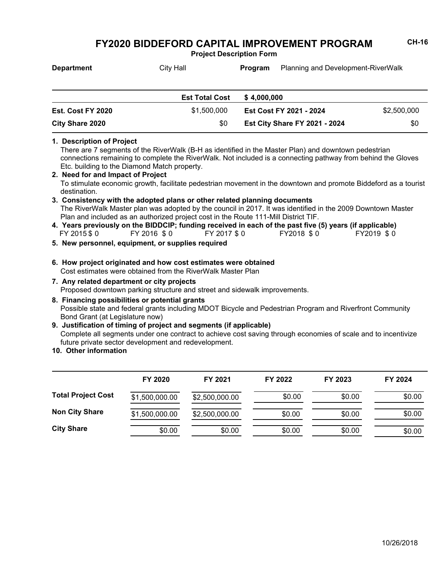**Project Description Form**

| <b>Department</b>        | City Hall             | <b>Program</b> | <b>Planning and Development-RiverWalk</b> |             |
|--------------------------|-----------------------|----------------|-------------------------------------------|-------------|
|                          | <b>Est Total Cost</b> | \$4.000.000    |                                           |             |
| <b>Est. Cost FY 2020</b> | \$1,500,000           |                | Est Cost FY 2021 - 2024                   | \$2,500,000 |

## **1. Description of Project**

There are 7 segments of the RiverWalk (B-H as identified in the Master Plan) and downtown pedestrian connections remaining to complete the RiverWalk. Not included is a connecting pathway from behind the Gloves Etc. building to the Diamond Match property.

**Est City Share FY 2021 - 2024** \$0

- To stimulate economic growth, facilitate pedestrian movement in the downtown and promote Biddeford as a tourist destination. **2. Need for and Impact of Project**
- The RiverWalk Master plan was adopted by the council in 2017. It was identified in the 2009 Downtown Master Plan and included as an authorized project cost in the Route 111-Mill District TIF. **3. Consistency with the adopted plans or other related planning documents**
- FY 2015 \$ 0 FY 2016 \$ 0 FY 2017 \$ 0 FY2018 \$ 0 FY2019 \$ 0 **4. Years previously on the BIDDCIP; funding received in each of the past five (5) years (if applicable)**
- **5. New personnel, equipment, or supplies required**

**City Share 2020** \$0

- Cost estimates were obtained from the RiverWalk Master Plan **6. How project originated and how cost estimates were obtained**
- Proposed downtown parking structure and street and sidewalk improvements. **7. Any related department or city projects**
- Possible state and federal grants including MDOT Bicycle and Pedestrian Program and Riverfront Community Bond Grant (at Legislature now) **8. Financing possibilities or potential grants**
- Complete all segments under one contract to achieve cost saving through economies of scale and to incentivize future private sector development and redevelopment. **9. Justification of timing of project and segments (if applicable)**
- **10. Other information**

|                           | FY 2020        | FY 2021        | FY 2022 | FY 2023 | FY 2024 |
|---------------------------|----------------|----------------|---------|---------|---------|
| <b>Total Project Cost</b> | \$1,500,000.00 | \$2,500,000.00 | \$0.00  | \$0.00  | \$0.00  |
| <b>Non City Share</b>     | \$1,500,000.00 | \$2,500,000.00 | \$0.00  | \$0.00  | \$0.00  |
| <b>City Share</b>         | \$0.00         | \$0.00         | \$0.00  | \$0.00  | \$0.00  |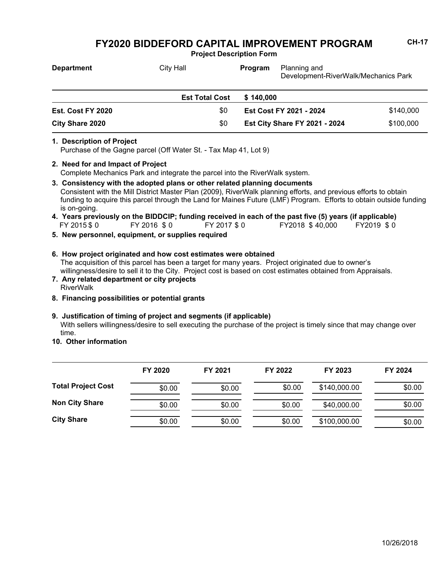**Project Description Form**

| <b>Department</b>               | <b>City Hall</b>      | <b>Program</b> | Planning and<br>Development-RiverWalk/Mechanics Park |           |
|---------------------------------|-----------------------|----------------|------------------------------------------------------|-----------|
|                                 | <b>Est Total Cost</b> | \$140.000      |                                                      |           |
| \$0<br><b>Est. Cost FY 2020</b> |                       |                | <b>Est Cost FY 2021 - 2024</b>                       | \$140,000 |
| <b>City Share 2020</b>          | \$0                   |                | <b>Est City Share FY 2021 - 2024</b>                 | \$100,000 |

#### **1. Description of Project**

Purchase of the Gagne parcel (Off Water St. - Tax Map 41, Lot 9)

## **2. Need for and Impact of Project**

Complete Mechanics Park and integrate the parcel into the RiverWalk system.

- Consistent with the Mill District Master Plan (2009), RiverWalk planning efforts, and previous efforts to obtain funding to acquire this parcel through the Land for Maines Future (LMF) Program. Efforts to obtain outside funding is on-going. **3. Consistency with the adopted plans or other related planning documents**
- FY 2015 \$ 0 FY 2016 \$ 0 FY 2017 \$ 0 FY2018 \$ 40,000 FY2019 \$ 0 **4. Years previously on the BIDDCIP; funding received in each of the past five (5) years (if applicable)**
- **5. New personnel, equipment, or supplies required**
- The acquisition of this parcel has been a target for many years. Project originated due to owner's willingness/desire to sell it to the City. Project cost is based on cost estimates obtained from Appraisals. **6. How project originated and how cost estimates were obtained**
- RiverWalk **7. Any related department or city projects**
- **8. Financing possibilities or potential grants**

### **9. Justification of timing of project and segments (if applicable)**

With sellers willingness/desire to sell executing the purchase of the project is timely since that may change over time.

**10. Other information**

|                           | FY 2020 | FY 2021 | FY 2022 | FY 2023      | FY 2024 |
|---------------------------|---------|---------|---------|--------------|---------|
| <b>Total Project Cost</b> | \$0.00  | \$0.00  | \$0.00  | \$140,000.00 | \$0.00  |
| <b>Non City Share</b>     | \$0.00  | \$0.00  | \$0.00  | \$40,000.00  | \$0.00  |
| <b>City Share</b>         | \$0.00  | \$0.00  | \$0.00  | \$100,000.00 | \$0.00  |